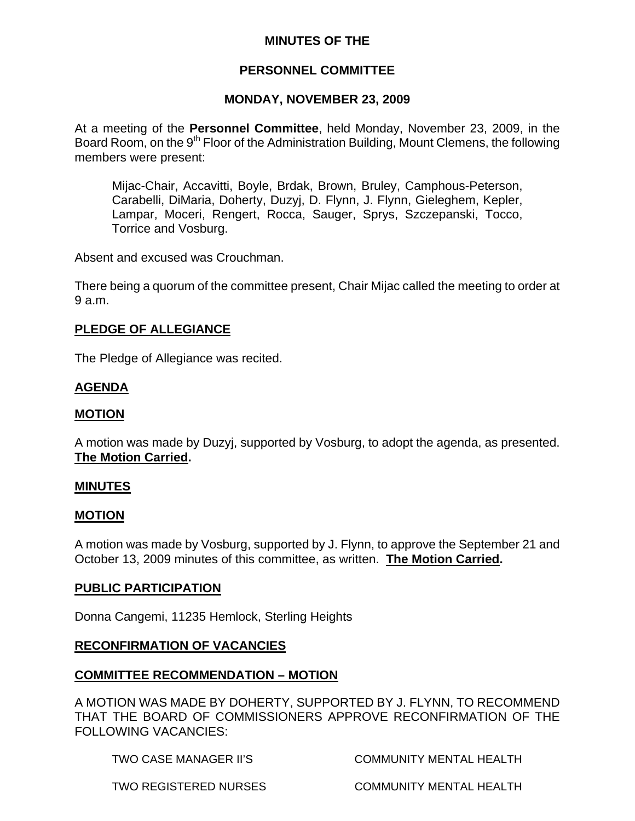## **MINUTES OF THE**

# **PERSONNEL COMMITTEE**

# **MONDAY, NOVEMBER 23, 2009**

At a meeting of the **Personnel Committee**, held Monday, November 23, 2009, in the Board Room, on the 9<sup>th</sup> Floor of the Administration Building, Mount Clemens, the following members were present:

Mijac-Chair, Accavitti, Boyle, Brdak, Brown, Bruley, Camphous-Peterson, Carabelli, DiMaria, Doherty, Duzyj, D. Flynn, J. Flynn, Gieleghem, Kepler, Lampar, Moceri, Rengert, Rocca, Sauger, Sprys, Szczepanski, Tocco, Torrice and Vosburg.

Absent and excused was Crouchman.

There being a quorum of the committee present, Chair Mijac called the meeting to order at 9 a.m.

# **PLEDGE OF ALLEGIANCE**

The Pledge of Allegiance was recited.

# **AGENDA**

#### **MOTION**

A motion was made by Duzyj, supported by Vosburg, to adopt the agenda, as presented. **The Motion Carried.** 

#### **MINUTES**

#### **MOTION**

A motion was made by Vosburg, supported by J. Flynn, to approve the September 21 and October 13, 2009 minutes of this committee, as written. **The Motion Carried.** 

#### **PUBLIC PARTICIPATION**

Donna Cangemi, 11235 Hemlock, Sterling Heights

## **RECONFIRMATION OF VACANCIES**

## **COMMITTEE RECOMMENDATION – MOTION**

A MOTION WAS MADE BY DOHERTY, SUPPORTED BY J. FLYNN, TO RECOMMEND THAT THE BOARD OF COMMISSIONERS APPROVE RECONFIRMATION OF THE FOLLOWING VACANCIES:

TWO CASE MANAGER II'S COMMUNITY MENTAL HEALTH

TWO REGISTERED NURSES COMMUNITY MENTAL HEALTH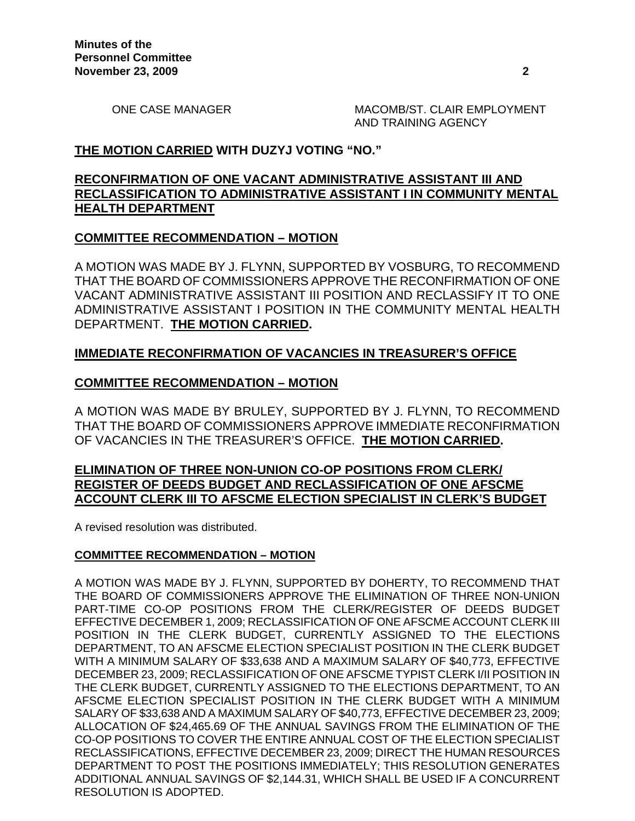ONE CASE MANAGER MACOMB/ST. CLAIR EMPLOYMENT AND TRAINING AGENCY

## **THE MOTION CARRIED WITH DUZYJ VOTING "NO."**

## **RECONFIRMATION OF ONE VACANT ADMINISTRATIVE ASSISTANT III AND RECLASSIFICATION TO ADMINISTRATIVE ASSISTANT I IN COMMUNITY MENTAL HEALTH DEPARTMENT**

#### **COMMITTEE RECOMMENDATION – MOTION**

A MOTION WAS MADE BY J. FLYNN, SUPPORTED BY VOSBURG, TO RECOMMEND THAT THE BOARD OF COMMISSIONERS APPROVE THE RECONFIRMATION OF ONE VACANT ADMINISTRATIVE ASSISTANT III POSITION AND RECLASSIFY IT TO ONE ADMINISTRATIVE ASSISTANT I POSITION IN THE COMMUNITY MENTAL HEALTH DEPARTMENT. **THE MOTION CARRIED.** 

#### **IMMEDIATE RECONFIRMATION OF VACANCIES IN TREASURER'S OFFICE**

#### **COMMITTEE RECOMMENDATION – MOTION**

A MOTION WAS MADE BY BRULEY, SUPPORTED BY J. FLYNN, TO RECOMMEND THAT THE BOARD OF COMMISSIONERS APPROVE IMMEDIATE RECONFIRMATION OF VACANCIES IN THE TREASURER'S OFFICE. **THE MOTION CARRIED.** 

#### **ELIMINATION OF THREE NON-UNION CO-OP POSITIONS FROM CLERK/ REGISTER OF DEEDS BUDGET AND RECLASSIFICATION OF ONE AFSCME ACCOUNT CLERK III TO AFSCME ELECTION SPECIALIST IN CLERK'S BUDGET**

A revised resolution was distributed.

#### **COMMITTEE RECOMMENDATION – MOTION**

A MOTION WAS MADE BY J. FLYNN, SUPPORTED BY DOHERTY, TO RECOMMEND THAT THE BOARD OF COMMISSIONERS APPROVE THE ELIMINATION OF THREE NON-UNION PART-TIME CO-OP POSITIONS FROM THE CLERK/REGISTER OF DEEDS BUDGET EFFECTIVE DECEMBER 1, 2009; RECLASSIFICATION OF ONE AFSCME ACCOUNT CLERK III POSITION IN THE CLERK BUDGET, CURRENTLY ASSIGNED TO THE ELECTIONS DEPARTMENT, TO AN AFSCME ELECTION SPECIALIST POSITION IN THE CLERK BUDGET WITH A MINIMUM SALARY OF \$33,638 AND A MAXIMUM SALARY OF \$40,773, EFFECTIVE DECEMBER 23, 2009; RECLASSIFICATION OF ONE AFSCME TYPIST CLERK I/II POSITION IN THE CLERK BUDGET, CURRENTLY ASSIGNED TO THE ELECTIONS DEPARTMENT, TO AN AFSCME ELECTION SPECIALIST POSITION IN THE CLERK BUDGET WITH A MINIMUM SALARY OF \$33,638 AND A MAXIMUM SALARY OF \$40,773, EFFECTIVE DECEMBER 23, 2009; ALLOCATION OF \$24,465.69 OF THE ANNUAL SAVINGS FROM THE ELIMINATION OF THE CO-OP POSITIONS TO COVER THE ENTIRE ANNUAL COST OF THE ELECTION SPECIALIST RECLASSIFICATIONS, EFFECTIVE DECEMBER 23, 2009; DIRECT THE HUMAN RESOURCES DEPARTMENT TO POST THE POSITIONS IMMEDIATELY; THIS RESOLUTION GENERATES ADDITIONAL ANNUAL SAVINGS OF \$2,144.31, WHICH SHALL BE USED IF A CONCURRENT RESOLUTION IS ADOPTED.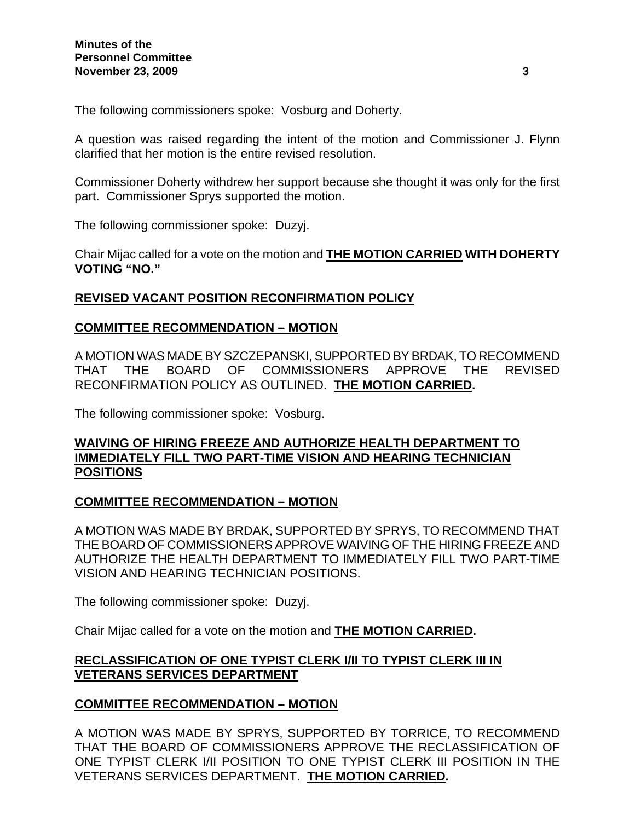The following commissioners spoke: Vosburg and Doherty.

A question was raised regarding the intent of the motion and Commissioner J. Flynn clarified that her motion is the entire revised resolution.

Commissioner Doherty withdrew her support because she thought it was only for the first part. Commissioner Sprys supported the motion.

The following commissioner spoke: Duzyj.

Chair Mijac called for a vote on the motion and **THE MOTION CARRIED WITH DOHERTY VOTING "NO."** 

## **REVISED VACANT POSITION RECONFIRMATION POLICY**

#### **COMMITTEE RECOMMENDATION – MOTION**

A MOTION WAS MADE BY SZCZEPANSKI, SUPPORTED BY BRDAK, TO RECOMMEND THAT THE BOARD OF COMMISSIONERS APPROVE THE REVISED RECONFIRMATION POLICY AS OUTLINED. **THE MOTION CARRIED.** 

The following commissioner spoke: Vosburg.

## **WAIVING OF HIRING FREEZE AND AUTHORIZE HEALTH DEPARTMENT TO IMMEDIATELY FILL TWO PART-TIME VISION AND HEARING TECHNICIAN POSITIONS**

## **COMMITTEE RECOMMENDATION – MOTION**

A MOTION WAS MADE BY BRDAK, SUPPORTED BY SPRYS, TO RECOMMEND THAT THE BOARD OF COMMISSIONERS APPROVE WAIVING OF THE HIRING FREEZE AND AUTHORIZE THE HEALTH DEPARTMENT TO IMMEDIATELY FILL TWO PART-TIME VISION AND HEARING TECHNICIAN POSITIONS.

The following commissioner spoke: Duzyj.

Chair Mijac called for a vote on the motion and **THE MOTION CARRIED.** 

# **RECLASSIFICATION OF ONE TYPIST CLERK I/II TO TYPIST CLERK III IN VETERANS SERVICES DEPARTMENT**

## **COMMITTEE RECOMMENDATION – MOTION**

A MOTION WAS MADE BY SPRYS, SUPPORTED BY TORRICE, TO RECOMMEND THAT THE BOARD OF COMMISSIONERS APPROVE THE RECLASSIFICATION OF ONE TYPIST CLERK I/II POSITION TO ONE TYPIST CLERK III POSITION IN THE VETERANS SERVICES DEPARTMENT. **THE MOTION CARRIED.**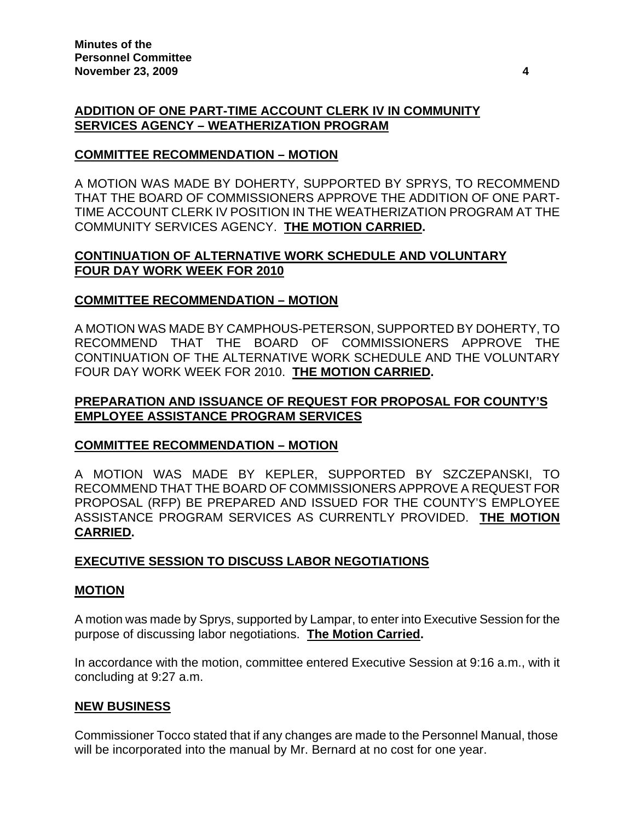# **ADDITION OF ONE PART-TIME ACCOUNT CLERK IV IN COMMUNITY SERVICES AGENCY – WEATHERIZATION PROGRAM**

# **COMMITTEE RECOMMENDATION – MOTION**

A MOTION WAS MADE BY DOHERTY, SUPPORTED BY SPRYS, TO RECOMMEND THAT THE BOARD OF COMMISSIONERS APPROVE THE ADDITION OF ONE PART-TIME ACCOUNT CLERK IV POSITION IN THE WEATHERIZATION PROGRAM AT THE COMMUNITY SERVICES AGENCY. **THE MOTION CARRIED.** 

# **CONTINUATION OF ALTERNATIVE WORK SCHEDULE AND VOLUNTARY FOUR DAY WORK WEEK FOR 2010**

# **COMMITTEE RECOMMENDATION – MOTION**

A MOTION WAS MADE BY CAMPHOUS-PETERSON, SUPPORTED BY DOHERTY, TO RECOMMEND THAT THE BOARD OF COMMISSIONERS APPROVE THE CONTINUATION OF THE ALTERNATIVE WORK SCHEDULE AND THE VOLUNTARY FOUR DAY WORK WEEK FOR 2010. **THE MOTION CARRIED.** 

# **PREPARATION AND ISSUANCE OF REQUEST FOR PROPOSAL FOR COUNTY'S EMPLOYEE ASSISTANCE PROGRAM SERVICES**

# **COMMITTEE RECOMMENDATION – MOTION**

A MOTION WAS MADE BY KEPLER, SUPPORTED BY SZCZEPANSKI, TO RECOMMEND THAT THE BOARD OF COMMISSIONERS APPROVE A REQUEST FOR PROPOSAL (RFP) BE PREPARED AND ISSUED FOR THE COUNTY'S EMPLOYEE ASSISTANCE PROGRAM SERVICES AS CURRENTLY PROVIDED. **THE MOTION CARRIED.** 

# **EXECUTIVE SESSION TO DISCUSS LABOR NEGOTIATIONS**

## **MOTION**

A motion was made by Sprys, supported by Lampar, to enter into Executive Session for the purpose of discussing labor negotiations. **The Motion Carried.** 

In accordance with the motion, committee entered Executive Session at 9:16 a.m., with it concluding at 9:27 a.m.

## **NEW BUSINESS**

Commissioner Tocco stated that if any changes are made to the Personnel Manual, those will be incorporated into the manual by Mr. Bernard at no cost for one year.